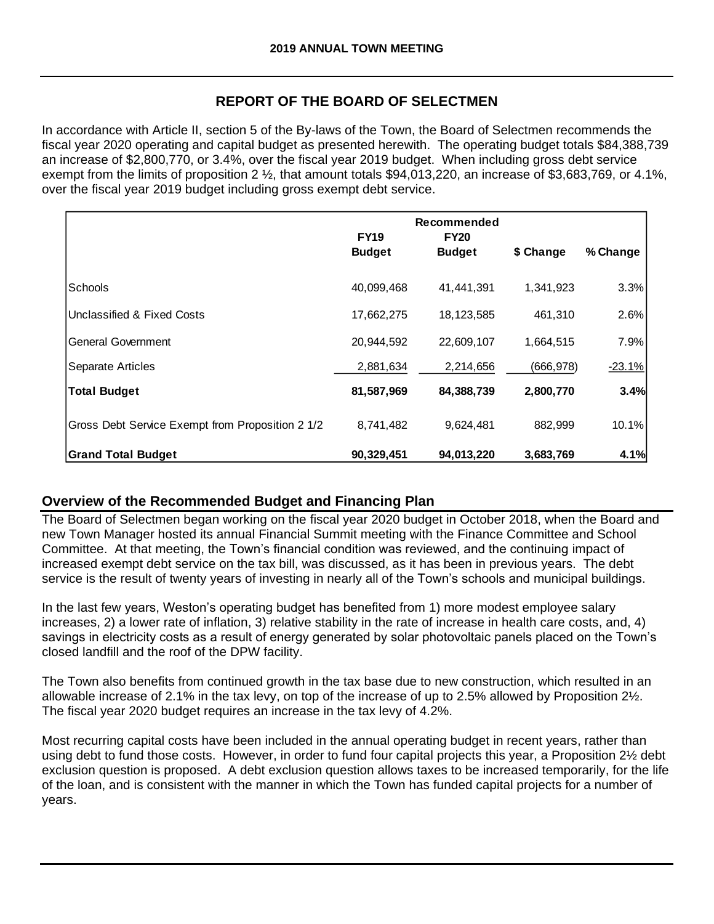## **REPORT OF THE BOARD OF SELECTMEN**

In accordance with Article II, section 5 of the By-laws of the Town, the Board of Selectmen recommends the fiscal year 2020 operating and capital budget as presented herewith. The operating budget totals \$84,388,739 an increase of \$2,800,770, or 3.4%, over the fiscal year 2019 budget. When including gross debt service exempt from the limits of proposition 2 ½, that amount totals \$94,013,220, an increase of \$3,683,769, or 4.1%, over the fiscal year 2019 budget including gross exempt debt service.

|                                                  | Recommended<br><b>FY19</b><br><b>FY20</b><br><b>Budget</b><br><b>Budget</b> |            | \$ Change  | % Change |
|--------------------------------------------------|-----------------------------------------------------------------------------|------------|------------|----------|
|                                                  |                                                                             |            |            |          |
| Schools                                          | 40,099,468                                                                  | 41,441,391 | 1,341,923  | 3.3%     |
| Unclassified & Fixed Costs                       | 17,662,275                                                                  | 18,123,585 | 461,310    | 2.6%     |
| <b>General Government</b>                        | 20,944,592                                                                  | 22,609,107 | 1,664,515  | 7.9%     |
| Separate Articles                                | 2,881,634                                                                   | 2,214,656  | (666, 978) | $-23.1%$ |
| <b>Total Budget</b>                              | 81,587,969                                                                  | 84,388,739 | 2,800,770  | 3.4%     |
| Gross Debt Service Exempt from Proposition 2 1/2 | 8,741,482                                                                   | 9,624,481  | 882,999    | 10.1%    |
| <b>Grand Total Budget</b>                        | 90,329,451                                                                  | 94,013,220 | 3,683,769  | 4.1%     |

# **Overview of the Recommended Budget and Financing Plan**

The Board of Selectmen began working on the fiscal year 2020 budget in October 2018, when the Board and new Town Manager hosted its annual Financial Summit meeting with the Finance Committee and School Committee. At that meeting, the Town's financial condition was reviewed, and the continuing impact of increased exempt debt service on the tax bill, was discussed, as it has been in previous years. The debt service is the result of twenty years of investing in nearly all of the Town's schools and municipal buildings.

In the last few years, Weston's operating budget has benefited from 1) more modest employee salary increases, 2) a lower rate of inflation, 3) relative stability in the rate of increase in health care costs, and, 4) savings in electricity costs as a result of energy generated by solar photovoltaic panels placed on the Town's closed landfill and the roof of the DPW facility.

The Town also benefits from continued growth in the tax base due to new construction, which resulted in an allowable increase of 2.1% in the tax levy, on top of the increase of up to 2.5% allowed by Proposition 2½. The fiscal year 2020 budget requires an increase in the tax levy of 4.2%.

Most recurring capital costs have been included in the annual operating budget in recent years, rather than using debt to fund those costs. However, in order to fund four capital projects this year, a Proposition 2½ debt exclusion question is proposed. A debt exclusion question allows taxes to be increased temporarily, for the life of the loan, and is consistent with the manner in which the Town has funded capital projects for a number of years.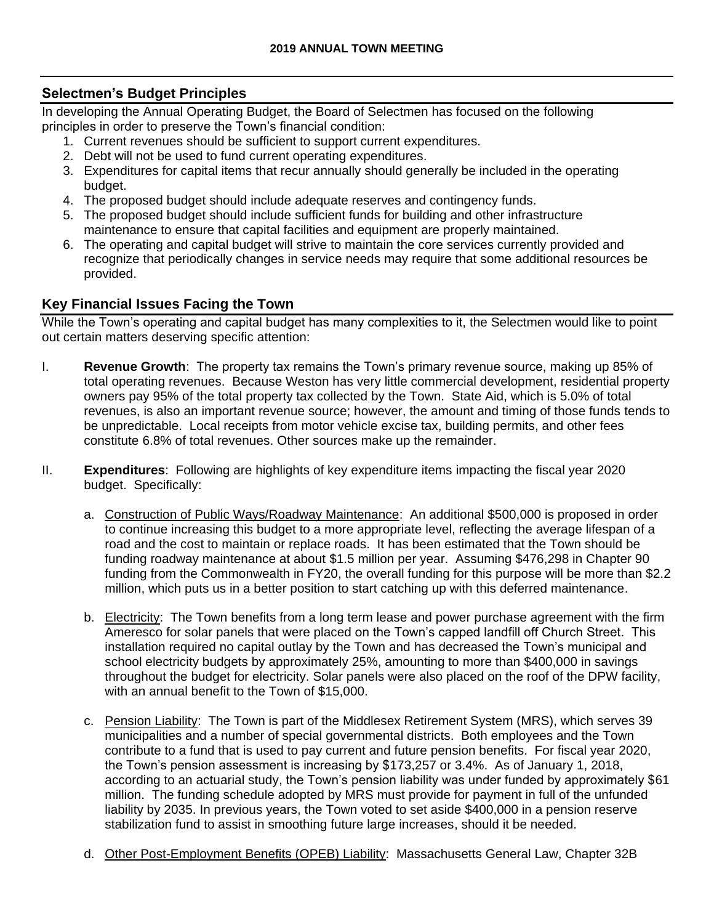### **Selectmen's Budget Principles**

In developing the Annual Operating Budget, the Board of Selectmen has focused on the following principles in order to preserve the Town's financial condition:

- 1. Current revenues should be sufficient to support current expenditures.
- 2. Debt will not be used to fund current operating expenditures.
- 3. Expenditures for capital items that recur annually should generally be included in the operating budget.
- 4. The proposed budget should include adequate reserves and contingency funds.
- 5. The proposed budget should include sufficient funds for building and other infrastructure maintenance to ensure that capital facilities and equipment are properly maintained.
- 6. The operating and capital budget will strive to maintain the core services currently provided and recognize that periodically changes in service needs may require that some additional resources be provided.

## **Key Financial Issues Facing the Town**

While the Town's operating and capital budget has many complexities to it, the Selectmen would like to point out certain matters deserving specific attention:

- I. **Revenue Growth**: The property tax remains the Town's primary revenue source, making up 85% of total operating revenues. Because Weston has very little commercial development, residential property owners pay 95% of the total property tax collected by the Town. State Aid, which is 5.0% of total revenues, is also an important revenue source; however, the amount and timing of those funds tends to be unpredictable. Local receipts from motor vehicle excise tax, building permits, and other fees constitute 6.8% of total revenues. Other sources make up the remainder.
- II. **Expenditures**: Following are highlights of key expenditure items impacting the fiscal year 2020 budget. Specifically:
	- a. Construction of Public Ways/Roadway Maintenance: An additional \$500,000 is proposed in order to continue increasing this budget to a more appropriate level, reflecting the average lifespan of a road and the cost to maintain or replace roads. It has been estimated that the Town should be funding roadway maintenance at about \$1.5 million per year. Assuming \$476,298 in Chapter 90 funding from the Commonwealth in FY20, the overall funding for this purpose will be more than \$2.2 million, which puts us in a better position to start catching up with this deferred maintenance.
	- b. Electricity: The Town benefits from a long term lease and power purchase agreement with the firm Ameresco for solar panels that were placed on the Town's capped landfill off Church Street. This installation required no capital outlay by the Town and has decreased the Town's municipal and school electricity budgets by approximately 25%, amounting to more than \$400,000 in savings throughout the budget for electricity. Solar panels were also placed on the roof of the DPW facility, with an annual benefit to the Town of \$15,000.
	- c. Pension Liability: The Town is part of the Middlesex Retirement System (MRS), which serves 39 municipalities and a number of special governmental districts. Both employees and the Town contribute to a fund that is used to pay current and future pension benefits. For fiscal year 2020, the Town's pension assessment is increasing by \$173,257 or 3.4%. As of January 1, 2018, according to an actuarial study, the Town's pension liability was under funded by approximately \$61 million. The funding schedule adopted by MRS must provide for payment in full of the unfunded liability by 2035. In previous years, the Town voted to set aside \$400,000 in a pension reserve stabilization fund to assist in smoothing future large increases, should it be needed.
	- d. Other Post-Employment Benefits (OPEB) Liability: Massachusetts General Law, Chapter 32B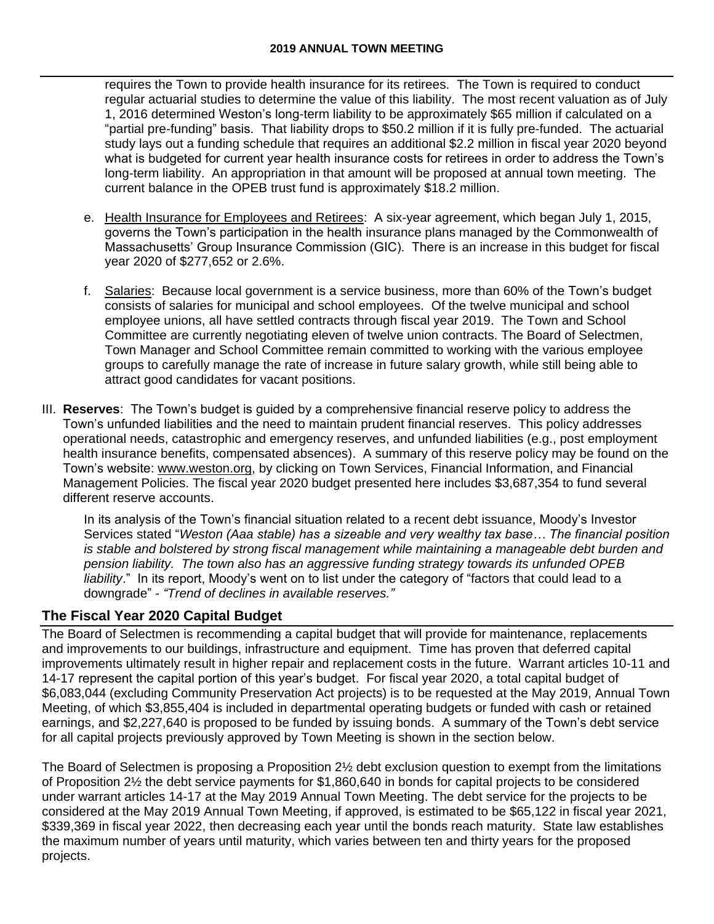#### **2019 ANNUAL TOWN MEETING**

requires the Town to provide health insurance for its retirees. The Town is required to conduct regular actuarial studies to determine the value of this liability. The most recent valuation as of July 1, 2016 determined Weston's long-term liability to be approximately \$65 million if calculated on a "partial pre-funding" basis. That liability drops to \$50.2 million if it is fully pre-funded. The actuarial study lays out a funding schedule that requires an additional \$2.2 million in fiscal year 2020 beyond what is budgeted for current year health insurance costs for retirees in order to address the Town's long-term liability. An appropriation in that amount will be proposed at annual town meeting. The current balance in the OPEB trust fund is approximately \$18.2 million.

- e. Health Insurance for Employees and Retirees: A six-year agreement, which began July 1, 2015, governs the Town's participation in the health insurance plans managed by the Commonwealth of Massachusetts' Group Insurance Commission (GIC). There is an increase in this budget for fiscal year 2020 of \$277,652 or 2.6%.
- f. Salaries: Because local government is a service business, more than 60% of the Town's budget consists of salaries for municipal and school employees. Of the twelve municipal and school employee unions, all have settled contracts through fiscal year 2019. The Town and School Committee are currently negotiating eleven of twelve union contracts. The Board of Selectmen, Town Manager and School Committee remain committed to working with the various employee groups to carefully manage the rate of increase in future salary growth, while still being able to attract good candidates for vacant positions.
- III. **Reserves**: The Town's budget is guided by a comprehensive financial reserve policy to address the Town's unfunded liabilities and the need to maintain prudent financial reserves. This policy addresses operational needs, catastrophic and emergency reserves, and unfunded liabilities (e.g., post employment health insurance benefits, compensated absences). A summary of this reserve policy may be found on the Town's website: [www.weston.org,](http://www.weston.org/) by clicking on Town Services, Financial Information, and Financial Management Policies. The fiscal year 2020 budget presented here includes \$3,687,354 to fund several different reserve accounts.

In its analysis of the Town's financial situation related to a recent debt issuance, Moody's Investor Services stated "*Weston (Aaa stable) has a sizeable and very wealthy tax base… The financial position is stable and bolstered by strong fiscal management while maintaining a manageable debt burden and pension liability. The town also has an aggressive funding strategy towards its unfunded OPEB liability*." In its report, Moody's went on to list under the category of "factors that could lead to a downgrade" - *"Trend of declines in available reserves."* 

# **The Fiscal Year 2020 Capital Budget**

The Board of Selectmen is recommending a capital budget that will provide for maintenance, replacements and improvements to our buildings, infrastructure and equipment. Time has proven that deferred capital improvements ultimately result in higher repair and replacement costs in the future. Warrant articles 10-11 and 14-17 represent the capital portion of this year's budget. For fiscal year 2020, a total capital budget of \$6,083,044 (excluding Community Preservation Act projects) is to be requested at the May 2019, Annual Town Meeting, of which \$3,855,404 is included in departmental operating budgets or funded with cash or retained earnings, and \$2,227,640 is proposed to be funded by issuing bonds. A summary of the Town's debt service for all capital projects previously approved by Town Meeting is shown in the section below.

The Board of Selectmen is proposing a Proposition 2½ debt exclusion question to exempt from the limitations of Proposition 2½ the debt service payments for \$1,860,640 in bonds for capital projects to be considered under warrant articles 14-17 at the May 2019 Annual Town Meeting. The debt service for the projects to be considered at the May 2019 Annual Town Meeting, if approved, is estimated to be \$65,122 in fiscal year 2021, \$339,369 in fiscal year 2022, then decreasing each year until the bonds reach maturity. State law establishes the maximum number of years until maturity, which varies between ten and thirty years for the proposed projects.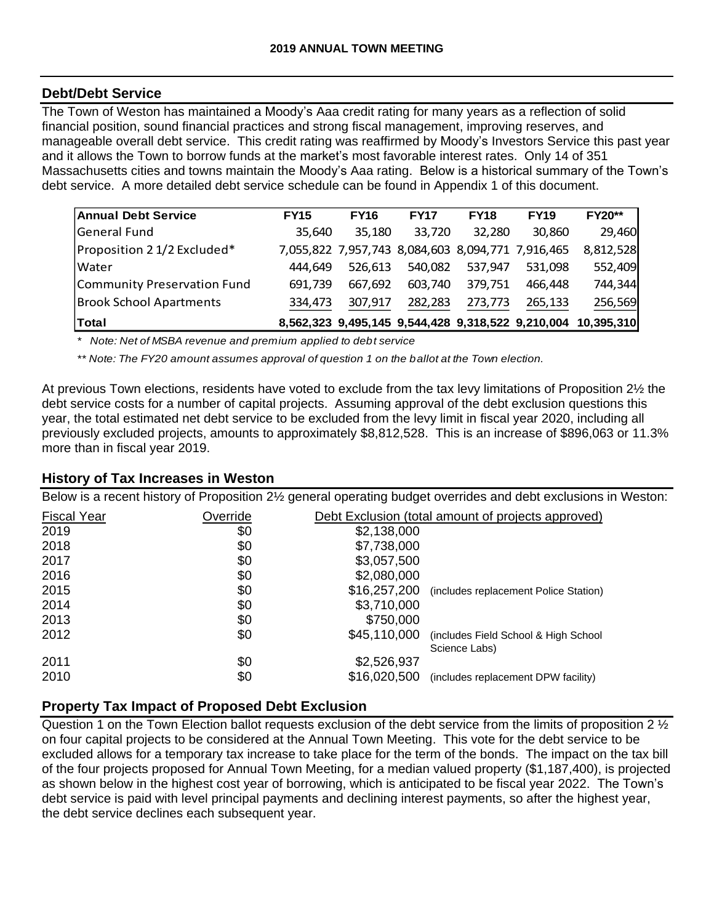### **Debt/Debt Service**

The Town of Weston has maintained a Moody's Aaa credit rating for many years as a reflection of solid financial position, sound financial practices and strong fiscal management, improving reserves, and manageable overall debt service. This credit rating was reaffirmed by Moody's Investors Service this past year and it allows the Town to borrow funds at the market's most favorable interest rates. Only 14 of 351 Massachusetts cities and towns maintain the Moody's Aaa rating. Below is a historical summary of the Town's debt service. A more detailed debt service schedule can be found in Appendix 1 of this document.

| <b>Annual Debt Service</b>     | <b>FY15</b> | <b>FY16</b> | <b>FY17</b>                                       | <b>FY18</b> | <b>FY19</b> | <b>FY20**</b>                                                |
|--------------------------------|-------------|-------------|---------------------------------------------------|-------------|-------------|--------------------------------------------------------------|
| General Fund                   | 35,640      | 35,180      | 33,720                                            | 32,280      | 30,860      | 29,460                                                       |
| Proposition 2 1/2 Excluded*    |             |             | 7,055,822 7,957,743 8,084,603 8,094,771 7,916,465 |             |             | 8,812,528                                                    |
| <b>Water</b>                   | 444.649     | 526.613     | 540.082                                           | 537,947     | 531.098     | 552,409                                                      |
| Community Preservation Fund    | 691,739     | 667.692     | 603.740                                           | 379,751     | 466,448     | 744,344                                                      |
| <b>Brook School Apartments</b> | 334,473     | 307,917     | 282,283                                           | 273.773     | 265,133     | 256,569                                                      |
| Total                          |             |             |                                                   |             |             | 8,562,323 9,495,145 9,544,428 9,318,522 9,210,004 10,395,310 |

*\* Note: Net of MSBA revenue and premium applied to debt service*

*\*\* Note: The FY20 amount assumes approval of question 1 on the ballot at the Town election.*

At previous Town elections, residents have voted to exclude from the tax levy limitations of Proposition 2½ the debt service costs for a number of capital projects. Assuming approval of the debt exclusion questions this year, the total estimated net debt service to be excluded from the levy limit in fiscal year 2020, including all previously excluded projects, amounts to approximately \$8,812,528. This is an increase of \$896,063 or 11.3% more than in fiscal year 2019.

#### **History of Tax Increases in Weston**

Below is a recent history of Proposition 2½ general operating budget overrides and debt exclusions in Weston:

| <b>Fiscal Year</b> | Override |              | Debt Exclusion (total amount of projects approved) |
|--------------------|----------|--------------|----------------------------------------------------|
| 2019               | \$0      | \$2,138,000  |                                                    |
| 2018               | \$0      | \$7,738,000  |                                                    |
| 2017               | \$0      | \$3,057,500  |                                                    |
| 2016               | \$0      | \$2,080,000  |                                                    |
| 2015               | \$0      | \$16,257,200 | (includes replacement Police Station)              |
| 2014               | \$0      | \$3,710,000  |                                                    |
| 2013               | \$0      | \$750,000    |                                                    |
| 2012               | \$0      | \$45,110,000 | (includes Field School & High School)              |
|                    |          |              | Science Labs)                                      |
| 2011               | \$0      | \$2,526,937  |                                                    |
| 2010               | \$0      | \$16,020,500 | (includes replacement DPW facility)                |

## **Property Tax Impact of Proposed Debt Exclusion**

Question 1 on the Town Election ballot requests exclusion of the debt service from the limits of proposition 2  $\frac{1}{2}$ on four capital projects to be considered at the Annual Town Meeting. This vote for the debt service to be excluded allows for a temporary tax increase to take place for the term of the bonds. The impact on the tax bill of the four projects proposed for Annual Town Meeting, for a median valued property (\$1,187,400), is projected as shown below in the highest cost year of borrowing, which is anticipated to be fiscal year 2022. The Town's debt service is paid with level principal payments and declining interest payments, so after the highest year, the debt service declines each subsequent year.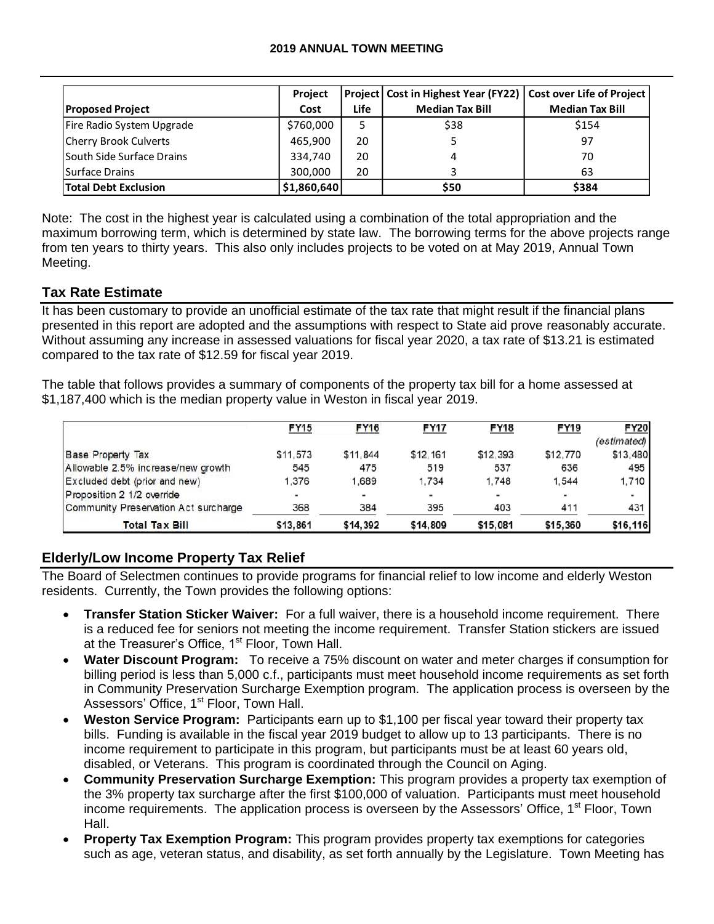|                             | <b>Project</b> |             | Project   Cost in Highest Year (FY22)   Cost over Life of Project |                        |
|-----------------------------|----------------|-------------|-------------------------------------------------------------------|------------------------|
| <b>Proposed Project</b>     | Cost           | <b>Life</b> | <b>Median Tax Bill</b>                                            | <b>Median Tax Bill</b> |
| Fire Radio System Upgrade   | \$760,000      | 5           | \$38                                                              | \$154                  |
| Cherry Brook Culverts       | 465,900        | 20          |                                                                   | 97                     |
| South Side Surface Drains   | 334,740        | 20          | 4                                                                 | 70                     |
| Surface Drains              | 300.000        | 20          |                                                                   | 63                     |
| <b>Total Debt Exclusion</b> | \$1,860,640    |             | \$50                                                              | \$384                  |

## **Tax Rate Estimate**

|                                                                                                                                                                                                                                                                                                                                                                                                                                                                                                                                                                                                                                                                                                                                                                              | Project     |             | Project   Cost in Highest Year (FY22) | Cost over Life of Project |                         |
|------------------------------------------------------------------------------------------------------------------------------------------------------------------------------------------------------------------------------------------------------------------------------------------------------------------------------------------------------------------------------------------------------------------------------------------------------------------------------------------------------------------------------------------------------------------------------------------------------------------------------------------------------------------------------------------------------------------------------------------------------------------------------|-------------|-------------|---------------------------------------|---------------------------|-------------------------|
| <b>Proposed Project</b>                                                                                                                                                                                                                                                                                                                                                                                                                                                                                                                                                                                                                                                                                                                                                      | Cost        | Life        | <b>Median Tax Bill</b>                | <b>Median Tax Bill</b>    |                         |
| Fire Radio System Upgrade                                                                                                                                                                                                                                                                                                                                                                                                                                                                                                                                                                                                                                                                                                                                                    | \$760,000   | 5           | \$38                                  | \$154                     |                         |
| Cherry Brook Culverts                                                                                                                                                                                                                                                                                                                                                                                                                                                                                                                                                                                                                                                                                                                                                        | 465,900     | 20          | 5                                     | 97                        |                         |
| South Side Surface Drains                                                                                                                                                                                                                                                                                                                                                                                                                                                                                                                                                                                                                                                                                                                                                    | 334,740     | 20          | 4                                     | 70                        |                         |
| <b>Surface Drains</b>                                                                                                                                                                                                                                                                                                                                                                                                                                                                                                                                                                                                                                                                                                                                                        | 300,000     | 20          | 3                                     | 63                        |                         |
| <b>Total Debt Exclusion</b>                                                                                                                                                                                                                                                                                                                                                                                                                                                                                                                                                                                                                                                                                                                                                  | \$1,860,640 |             | \$50                                  | \$384                     |                         |
| e: The cost in the highest year is calculated using a combination of the total appropriation and the<br>ximum borrowing term, which is determined by state law. The borrowing terms for the above projects range<br>n ten years to thirty years. This also only includes projects to be voted on at May 2019, Annual Town<br>eting.<br>x Rate Estimate                                                                                                                                                                                                                                                                                                                                                                                                                       |             |             |                                       |                           |                         |
| as been customary to provide an unofficial estimate of the tax rate that might result if the financial plans<br>sented in this report are adopted and the assumptions with respect to State aid prove reasonably accurate.<br>hout assuming any increase in assessed valuations for fiscal year 2020, a tax rate of \$13.21 is estimated<br>npared to the tax rate of \$12.59 for fiscal year 2019.<br>table that follows provides a summary of components of the property tax bill for a home assessed at<br>187,400 which is the median property value in Weston in fiscal year 2019.                                                                                                                                                                                      |             |             |                                       |                           |                         |
|                                                                                                                                                                                                                                                                                                                                                                                                                                                                                                                                                                                                                                                                                                                                                                              | <b>FY15</b> | <b>FY16</b> | <b>FY17</b><br><b>FY18</b>            | <b>FY19</b>               | <b>FY20</b>             |
| <b>Base Property Tax</b>                                                                                                                                                                                                                                                                                                                                                                                                                                                                                                                                                                                                                                                                                                                                                     | \$11,573    | \$11,844    | \$12,161<br>\$12,393                  | \$12,770                  | (estimated)<br>\$13,480 |
| Allowable 2.5% increase/new growth                                                                                                                                                                                                                                                                                                                                                                                                                                                                                                                                                                                                                                                                                                                                           | 545         | 475         | 519<br>537                            | 636                       | 495                     |
| Excluded debt (prior and new)                                                                                                                                                                                                                                                                                                                                                                                                                                                                                                                                                                                                                                                                                                                                                | 1,376       | 1,689       | 1,734<br>1,748                        | 1,544                     | 1,710                   |
| Proposition 2 1/2 override                                                                                                                                                                                                                                                                                                                                                                                                                                                                                                                                                                                                                                                                                                                                                   |             |             |                                       |                           |                         |
| Community Preservation Act surcharge                                                                                                                                                                                                                                                                                                                                                                                                                                                                                                                                                                                                                                                                                                                                         | 368         | 384         | 395<br>403                            | 411                       | 431                     |
| <b>Total Tax Bill</b>                                                                                                                                                                                                                                                                                                                                                                                                                                                                                                                                                                                                                                                                                                                                                        | \$13,861    | \$14,392    | \$14,809<br>\$15,081                  | \$15,360                  | \$16,116                |
| lerly/Low Income Property Tax Relief<br>Board of Selectmen continues to provide programs for financial relief to low income and elderly Weston<br>idents. Currently, the Town provides the following options:                                                                                                                                                                                                                                                                                                                                                                                                                                                                                                                                                                |             |             |                                       |                           |                         |
| Transfer Station Sticker Waiver: For a full waiver, there is a household income requirement. There<br>is a reduced fee for seniors not meeting the income requirement. Transfer Station stickers are issued<br>at the Treasurer's Office, 1 <sup>st</sup> Floor, Town Hall.<br>Water Discount Program: To receive a 75% discount on water and meter charges if consumption for<br>$\bullet$<br>billing period is less than 5,000 c.f., participants must meet household income requirements as set forth<br>in Community Preservation Surcharge Exemption program. The application process is overseen by the<br>Assessors' Office, 1 <sup>st</sup> Floor, Town Hall.                                                                                                        |             |             |                                       |                           |                         |
| Weston Service Program: Participants earn up to \$1,100 per fiscal year toward their property tax<br>$\bullet$<br>bills. Funding is available in the fiscal year 2019 budget to allow up to 13 participants. There is no<br>income requirement to participate in this program, but participants must be at least 60 years old,<br>disabled, or Veterans. This program is coordinated through the Council on Aging.<br><b>Community Preservation Surcharge Exemption:</b> This program provides a property tax exemption of<br>$\bullet$<br>the 3% property tax surcharge after the first \$100,000 of valuation. Participants must meet household<br>income requirements. The application process is overseen by the Assessors' Office, 1 <sup>st</sup> Floor, Town<br>Hall. |             |             |                                       |                           |                         |
| Property Tax Exemption Program: This program provides property tax exemptions for categories<br>such as age, veteran status, and disability, as set forth annually by the Legislature. Town Meeting has                                                                                                                                                                                                                                                                                                                                                                                                                                                                                                                                                                      |             |             |                                       |                           |                         |

# **Elderly/Low Income Property Tax Relief**

- **Transfer Station Sticker Waiver:** For a full waiver, there is a household income requirement. There is a reduced fee for seniors not meeting the income requirement. Transfer Station stickers are issued at the Treasurer's Office, 1<sup>st</sup> Floor, Town Hall.
- **Water Discount Program:** To receive a 75% discount on water and meter charges if consumption for billing period is less than 5,000 c.f., participants must meet household income requirements as set forth in Community Preservation Surcharge Exemption program. The application process is overseen by the Assessors' Office, 1<sup>st</sup> Floor, Town Hall.
- **Weston Service Program:** Participants earn up to \$1,100 per fiscal year toward their property tax bills. Funding is available in the fiscal year 2019 budget to allow up to 13 participants. There is no income requirement to participate in this program, but participants must be at least 60 years old, disabled, or Veterans. This program is coordinated through the Council on Aging.
- **Community Preservation Surcharge Exemption:** This program provides a property tax exemption of the 3% property tax surcharge after the first \$100,000 of valuation. Participants must meet household income requirements. The application process is overseen by the Assessors' Office,  $1<sup>st</sup>$  Floor, Town Hall.
- **Property Tax Exemption Program:** This program provides property tax exemptions for categories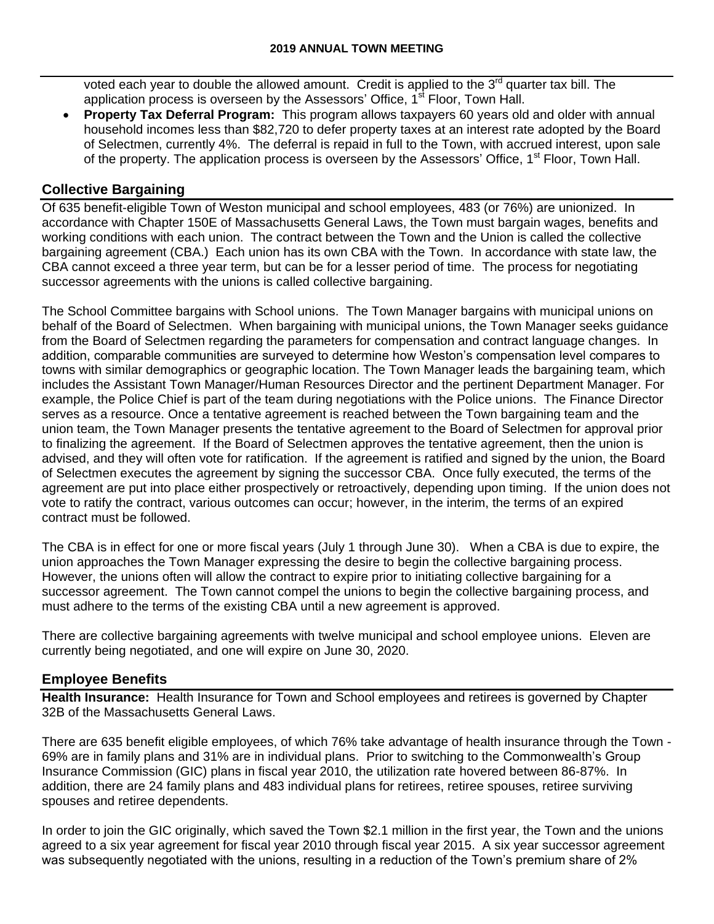voted each year to double the allowed amount. Credit is applied to the  $3<sup>rd</sup>$  quarter tax bill. The application process is overseen by the Assessors' Office,  $1<sup>st</sup>$  Floor, Town Hall.

 **Property Tax Deferral Program:** This program allows taxpayers 60 years old and older with annual household incomes less than \$82,720 to defer property taxes at an interest rate adopted by the Board of Selectmen, currently 4%. The deferral is repaid in full to the Town, with accrued interest, upon sale of the property. The application process is overseen by the Assessors' Office, 1<sup>st</sup> Floor, Town Hall.

### **Collective Bargaining**

Of 635 benefit-eligible Town of Weston municipal and school employees, 483 (or 76%) are unionized. In accordance with Chapter 150E of Massachusetts General Laws, the Town must bargain wages, benefits and working conditions with each union. The contract between the Town and the Union is called the collective bargaining agreement (CBA.) Each union has its own CBA with the Town. In accordance with state law, the CBA cannot exceed a three year term, but can be for a lesser period of time. The process for negotiating successor agreements with the unions is called collective bargaining.

The School Committee bargains with School unions. The Town Manager bargains with municipal unions on behalf of the Board of Selectmen. When bargaining with municipal unions, the Town Manager seeks guidance from the Board of Selectmen regarding the parameters for compensation and contract language changes. In addition, comparable communities are surveyed to determine how Weston's compensation level compares to towns with similar demographics or geographic location. The Town Manager leads the bargaining team, which includes the Assistant Town Manager/Human Resources Director and the pertinent Department Manager. For example, the Police Chief is part of the team during negotiations with the Police unions. The Finance Director serves as a resource. Once a tentative agreement is reached between the Town bargaining team and the union team, the Town Manager presents the tentative agreement to the Board of Selectmen for approval prior to finalizing the agreement. If the Board of Selectmen approves the tentative agreement, then the union is advised, and they will often vote for ratification. If the agreement is ratified and signed by the union, the Board of Selectmen executes the agreement by signing the successor CBA. Once fully executed, the terms of the agreement are put into place either prospectively or retroactively, depending upon timing. If the union does not vote to ratify the contract, various outcomes can occur; however, in the interim, the terms of an expired contract must be followed.

The CBA is in effect for one or more fiscal years (July 1 through June 30). When a CBA is due to expire, the union approaches the Town Manager expressing the desire to begin the collective bargaining process. However, the unions often will allow the contract to expire prior to initiating collective bargaining for a successor agreement. The Town cannot compel the unions to begin the collective bargaining process, and must adhere to the terms of the existing CBA until a new agreement is approved.

There are collective bargaining agreements with twelve municipal and school employee unions. Eleven are currently being negotiated, and one will expire on June 30, 2020.

#### **Employee Benefits**

**Health Insurance:** Health Insurance for Town and School employees and retirees is governed by Chapter 32B of the Massachusetts General Laws.

There are 635 benefit eligible employees, of which 76% take advantage of health insurance through the Town - 69% are in family plans and 31% are in individual plans. Prior to switching to the Commonwealth's Group Insurance Commission (GIC) plans in fiscal year 2010, the utilization rate hovered between 86-87%. In addition, there are 24 family plans and 483 individual plans for retirees, retiree spouses, retiree surviving spouses and retiree dependents.

In order to join the GIC originally, which saved the Town \$2.1 million in the first year, the Town and the unions agreed to a six year agreement for fiscal year 2010 through fiscal year 2015. A six year successor agreement was subsequently negotiated with the unions, resulting in a reduction of the Town's premium share of 2%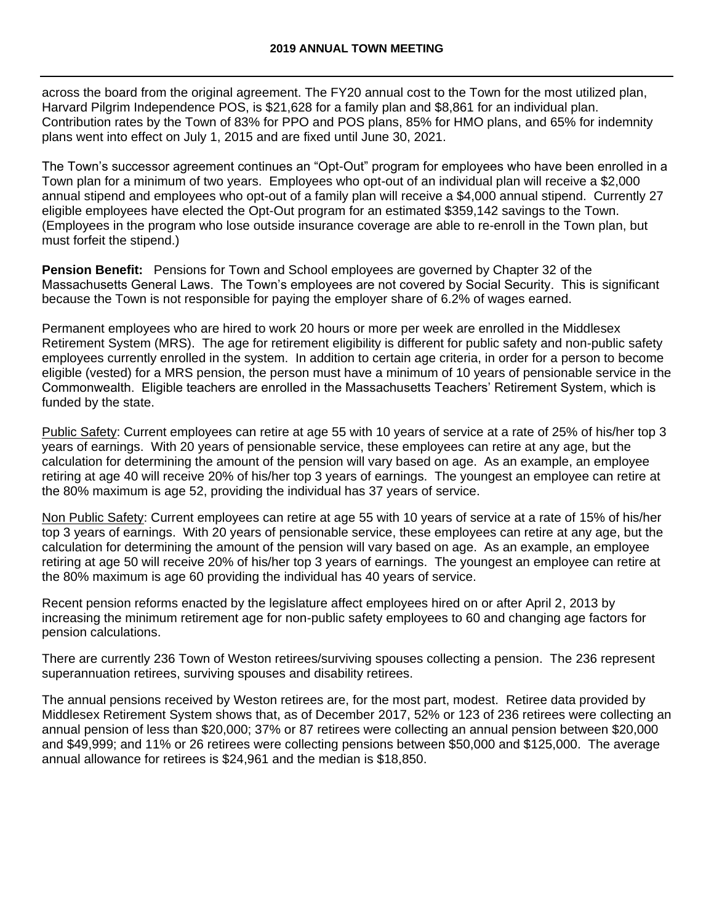across the board from the original agreement. The FY20 annual cost to the Town for the most utilized plan, Harvard Pilgrim Independence POS, is \$21,628 for a family plan and \$8,861 for an individual plan. Contribution rates by the Town of 83% for PPO and POS plans, 85% for HMO plans, and 65% for indemnity plans went into effect on July 1, 2015 and are fixed until June 30, 2021.

The Town's successor agreement continues an "Opt-Out" program for employees who have been enrolled in a Town plan for a minimum of two years. Employees who opt-out of an individual plan will receive a \$2,000 annual stipend and employees who opt-out of a family plan will receive a \$4,000 annual stipend. Currently 27 eligible employees have elected the Opt-Out program for an estimated \$359,142 savings to the Town. (Employees in the program who lose outside insurance coverage are able to re-enroll in the Town plan, but must forfeit the stipend.)

**Pension Benefit:** Pensions for Town and School employees are governed by Chapter 32 of the Massachusetts General Laws. The Town's employees are not covered by Social Security. This is significant because the Town is not responsible for paying the employer share of 6.2% of wages earned.

Permanent employees who are hired to work 20 hours or more per week are enrolled in the Middlesex Retirement System (MRS). The age for retirement eligibility is different for public safety and non-public safety employees currently enrolled in the system. In addition to certain age criteria, in order for a person to become eligible (vested) for a MRS pension, the person must have a minimum of 10 years of pensionable service in the Commonwealth. Eligible teachers are enrolled in the Massachusetts Teachers' Retirement System, which is funded by the state.

Public Safety: Current employees can retire at age 55 with 10 years of service at a rate of 25% of his/her top 3 years of earnings. With 20 years of pensionable service, these employees can retire at any age, but the calculation for determining the amount of the pension will vary based on age. As an example, an employee retiring at age 40 will receive 20% of his/her top 3 years of earnings. The youngest an employee can retire at the 80% maximum is age 52, providing the individual has 37 years of service.

Non Public Safety: Current employees can retire at age 55 with 10 years of service at a rate of 15% of his/her top 3 years of earnings. With 20 years of pensionable service, these employees can retire at any age, but the calculation for determining the amount of the pension will vary based on age. As an example, an employee retiring at age 50 will receive 20% of his/her top 3 years of earnings. The youngest an employee can retire at the 80% maximum is age 60 providing the individual has 40 years of service.

Recent pension reforms enacted by the legislature affect employees hired on or after April 2, 2013 by increasing the minimum retirement age for non-public safety employees to 60 and changing age factors for pension calculations.

There are currently 236 Town of Weston retirees/surviving spouses collecting a pension. The 236 represent superannuation retirees, surviving spouses and disability retirees.

The annual pensions received by Weston retirees are, for the most part, modest. Retiree data provided by Middlesex Retirement System shows that, as of December 2017, 52% or 123 of 236 retirees were collecting an annual pension of less than \$20,000; 37% or 87 retirees were collecting an annual pension between \$20,000 and \$49,999; and 11% or 26 retirees were collecting pensions between \$50,000 and \$125,000. The average annual allowance for retirees is \$24,961 and the median is \$18,850.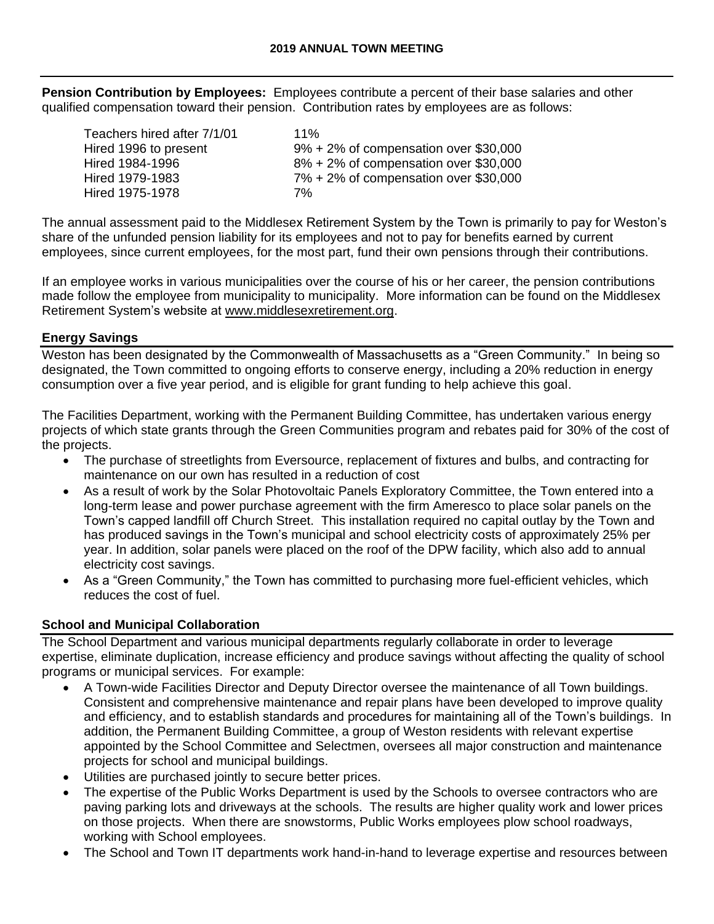**Pension Contribution by Employees:** Employees contribute a percent of their base salaries and other qualified compensation toward their pension. Contribution rates by employees are as follows:

| Teachers hired after 7/1/01 | $11\%$                                    |
|-----------------------------|-------------------------------------------|
| Hired 1996 to present       | $9\% + 2\%$ of compensation over \$30,000 |
| Hired 1984-1996             | $8\% + 2\%$ of compensation over \$30,000 |
| Hired 1979-1983             | $7\% + 2\%$ of compensation over \$30,000 |
| Hired 1975-1978             | 7%                                        |

The annual assessment paid to the Middlesex Retirement System by the Town is primarily to pay for Weston's share of the unfunded pension liability for its employees and not to pay for benefits earned by current employees, since current employees, for the most part, fund their own pensions through their contributions.

If an employee works in various municipalities over the course of his or her career, the pension contributions made follow the employee from municipality to municipality. More information can be found on the Middlesex Retirement System's website at [www.middlesexretirement.org.](http://www.middlesexretirement.org/)

#### **Energy Savings**

Weston has been designated by the Commonwealth of Massachusetts as a "Green Community." In being so designated, the Town committed to ongoing efforts to conserve energy, including a 20% reduction in energy consumption over a five year period, and is eligible for grant funding to help achieve this goal.

The Facilities Department, working with the Permanent Building Committee, has undertaken various energy projects of which state grants through the Green Communities program and rebates paid for 30% of the cost of the projects.

- The purchase of streetlights from Eversource, replacement of fixtures and bulbs, and contracting for maintenance on our own has resulted in a reduction of cost
- As a result of work by the Solar Photovoltaic Panels Exploratory Committee, the Town entered into a long-term lease and power purchase agreement with the firm Ameresco to place solar panels on the Town's capped landfill off Church Street. This installation required no capital outlay by the Town and has produced savings in the Town's municipal and school electricity costs of approximately 25% per year. In addition, solar panels were placed on the roof of the DPW facility, which also add to annual electricity cost savings.
- As a "Green Community," the Town has committed to purchasing more fuel-efficient vehicles, which reduces the cost of fuel.

## **School and Municipal Collaboration**

The School Department and various municipal departments regularly collaborate in order to leverage expertise, eliminate duplication, increase efficiency and produce savings without affecting the quality of school programs or municipal services. For example:

- A Town-wide Facilities Director and Deputy Director oversee the maintenance of all Town buildings. Consistent and comprehensive maintenance and repair plans have been developed to improve quality and efficiency, and to establish standards and procedures for maintaining all of the Town's buildings. In addition, the Permanent Building Committee, a group of Weston residents with relevant expertise appointed by the School Committee and Selectmen, oversees all major construction and maintenance projects for school and municipal buildings.
- Utilities are purchased jointly to secure better prices.
- The expertise of the Public Works Department is used by the Schools to oversee contractors who are paving parking lots and driveways at the schools. The results are higher quality work and lower prices on those projects. When there are snowstorms, Public Works employees plow school roadways, working with School employees.
- The School and Town IT departments work hand-in-hand to leverage expertise and resources between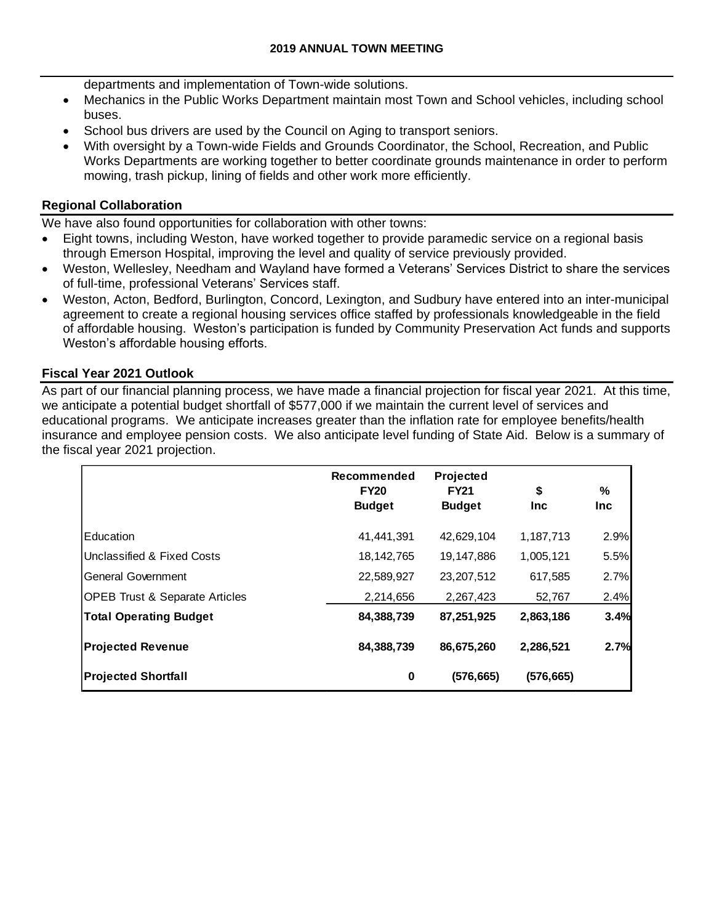departments and implementation of Town-wide solutions.

- Mechanics in the Public Works Department maintain most Town and School vehicles, including school buses.
- School bus drivers are used by the Council on Aging to transport seniors.
- With oversight by a Town-wide Fields and Grounds Coordinator, the School, Recreation, and Public Works Departments are working together to better coordinate grounds maintenance in order to perform mowing, trash pickup, lining of fields and other work more efficiently.

### **Regional Collaboration**

We have also found opportunities for collaboration with other towns:

- Eight towns, including Weston, have worked together to provide paramedic service on a regional basis through Emerson Hospital, improving the level and quality of service previously provided.
- Weston, Wellesley, Needham and Wayland have formed a Veterans' Services District to share the services of full-time, professional Veterans' Services staff.
- Weston, Acton, Bedford, Burlington, Concord, Lexington, and Sudbury have entered into an inter-municipal agreement to create a regional housing services office staffed by professionals knowledgeable in the field of affordable housing. Weston's participation is funded by Community Preservation Act funds and supports Weston's affordable housing efforts.

#### **Fiscal Year 2021 Outlook**

As part of our financial planning process, we have made a financial projection for fiscal year 2021. At this time, we anticipate a potential budget shortfall of \$577,000 if we maintain the current level of services and educational programs. We anticipate increases greater than the inflation rate for employee benefits/health insurance and employee pension costs. We also anticipate level funding of State Aid. Below is a summary of the fiscal year 2021 projection.

|                                           | Recommended<br><b>FY20</b><br><b>Budget</b> | Projected<br><b>FY21</b><br><b>Budget</b> | \$<br><b>Inc</b> | %<br><b>Inc</b> |
|-------------------------------------------|---------------------------------------------|-------------------------------------------|------------------|-----------------|
| <b>Education</b>                          | 41,441,391                                  | 42,629,104                                | 1,187,713        | 2.9%            |
| Unclassified & Fixed Costs                | 18, 142, 765                                | 19,147,886                                | 1,005,121        | 5.5%            |
| General Government                        | 22,589,927                                  | 23,207,512                                | 617,585          | 2.7%            |
| <b>OPEB Trust &amp; Separate Articles</b> | 2,214,656                                   | 2,267,423                                 | 52,767           | 2.4%            |
| <b>Total Operating Budget</b>             | 84,388,739                                  | 87,251,925                                | 2,863,186        | 3.4%            |
| <b>Projected Revenue</b>                  | 84,388,739                                  | 86,675,260                                | 2,286,521        | 2.7%            |
| <b>Projected Shortfall</b>                | $\bf{0}$                                    | (576, 665)                                | (576,665)        |                 |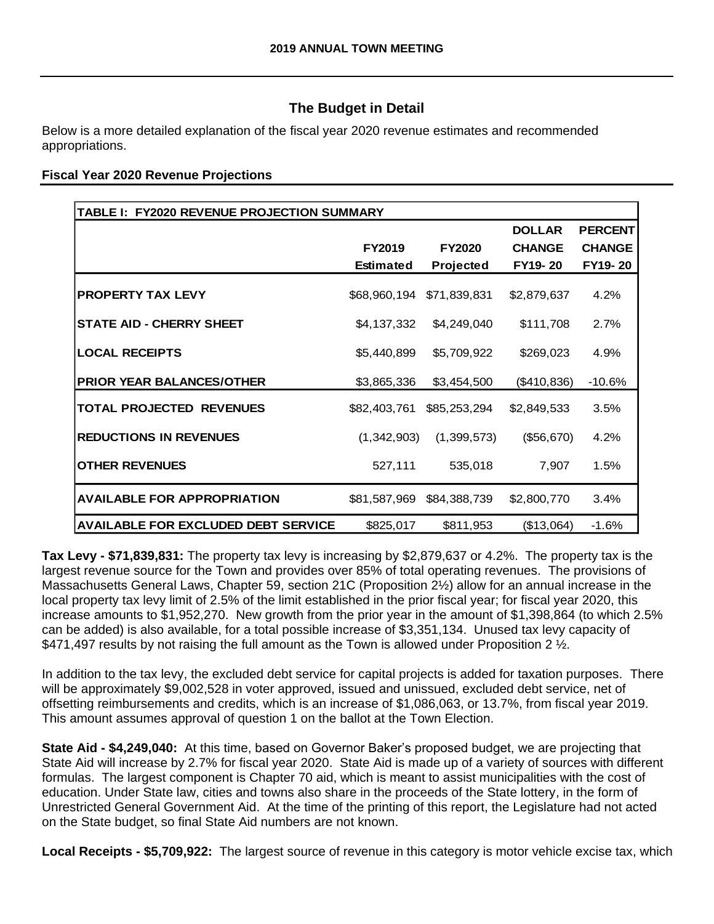# **The Budget in Detail**

Below is a more detailed explanation of the fiscal year 2020 revenue estimates and recommended appropriations.

### **Fiscal Year 2020 Revenue Projections**

| TABLE I: FY2020 REVENUE PROJECTION SUMMARY |              |               |               |                |  |  |  |
|--------------------------------------------|--------------|---------------|---------------|----------------|--|--|--|
|                                            |              |               | <b>DOLLAR</b> | <b>PERCENT</b> |  |  |  |
|                                            | FY2019       | <b>FY2020</b> | <b>CHANGE</b> | <b>CHANGE</b>  |  |  |  |
|                                            | Estimated    | Projected     | FY19-20       | FY19-20        |  |  |  |
| <b>PROPERTY TAX LEVY</b>                   | \$68,960,194 | \$71,839,831  | \$2,879,637   | 4.2%           |  |  |  |
| <b>STATE AID - CHERRY SHEET</b>            | \$4,137,332  | \$4,249,040   | \$111,708     | 2.7%           |  |  |  |
| <b>LOCAL RECEIPTS</b>                      | \$5,440,899  | \$5,709,922   | \$269,023     | 4.9%           |  |  |  |
| <b>PRIOR YEAR BALANCES/OTHER</b>           | \$3,865,336  | \$3,454,500   | (\$410,836)   | $-10.6%$       |  |  |  |
| <b>TOTAL PROJECTED REVENUES</b>            | \$82,403,761 | \$85,253,294  | \$2,849,533   | 3.5%           |  |  |  |
| <b>REDUCTIONS IN REVENUES</b>              | (1,342,903)  | (1,399,573)   | (\$56,670)    | 4.2%           |  |  |  |
| <b>OTHER REVENUES</b>                      | 527,111      | 535,018       | 7,907         | 1.5%           |  |  |  |
| <b>AVAILABLE FOR APPROPRIATION</b>         | \$81,587,969 | \$84,388,739  | \$2,800,770   | 3.4%           |  |  |  |
| <b>AVAILABLE FOR EXCLUDED DEBT SERVICE</b> | \$825,017    | \$811,953     | (\$13,064)    | $-1.6%$        |  |  |  |

**Tax Levy - \$71,839,831:** The property tax levy is increasing by \$2,879,637 or 4.2%. The property tax is the largest revenue source for the Town and provides over 85% of total operating revenues. The provisions of Massachusetts General Laws, Chapter 59, section 21C (Proposition 2½) allow for an annual increase in the local property tax levy limit of 2.5% of the limit established in the prior fiscal year; for fiscal year 2020, this increase amounts to \$1,952,270. New growth from the prior year in the amount of \$1,398,864 (to which 2.5% can be added) is also available, for a total possible increase of \$3,351,134. Unused tax levy capacity of \$471,497 results by not raising the full amount as the Town is allowed under Proposition 2  $\frac{1}{2}$ .

In addition to the tax levy, the excluded debt service for capital projects is added for taxation purposes. There will be approximately \$9,002,528 in voter approved, issued and unissued, excluded debt service, net of offsetting reimbursements and credits, which is an increase of \$1,086,063, or 13.7%, from fiscal year 2019. This amount assumes approval of question 1 on the ballot at the Town Election.

**State Aid - \$4,249,040:** At this time, based on Governor Baker's proposed budget, we are projecting that State Aid will increase by 2.7% for fiscal year 2020. State Aid is made up of a variety of sources with different formulas. The largest component is Chapter 70 aid, which is meant to assist municipalities with the cost of education. Under State law, cities and towns also share in the proceeds of the State lottery, in the form of Unrestricted General Government Aid. At the time of the printing of this report, the Legislature had not acted on the State budget, so final State Aid numbers are not known.

**Local Receipts - \$5,709,922:** The largest source of revenue in this category is motor vehicle excise tax, which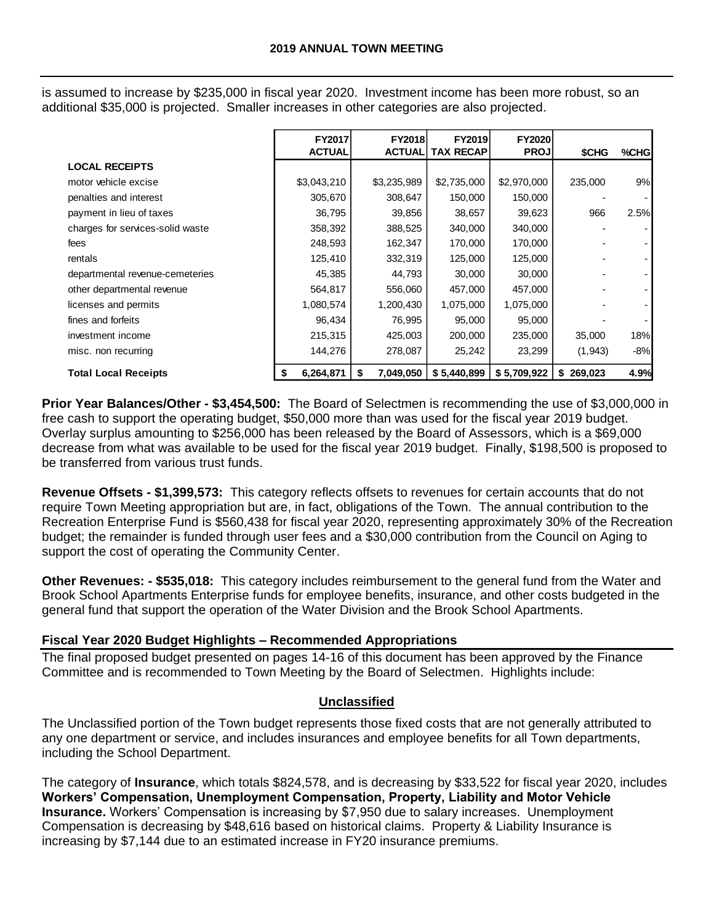is assumed to increase by \$235,000 in fiscal year 2020. Investment income has been more robust, so an additional \$35,000 is projected. Smaller increases in other categories are also projected.

|                                                                                                                                                                                                                                                                                                                                                                                                                                                                                                                                                                                                                                                                                                                                                                                                                                                                                                               | FY2017<br><b>ACTUAL</b> | FY2018<br><b>ACTUAL</b> | FY2019<br><b>TAX RECAP</b> | FY2020<br><b>PROJ</b> |           |       |
|---------------------------------------------------------------------------------------------------------------------------------------------------------------------------------------------------------------------------------------------------------------------------------------------------------------------------------------------------------------------------------------------------------------------------------------------------------------------------------------------------------------------------------------------------------------------------------------------------------------------------------------------------------------------------------------------------------------------------------------------------------------------------------------------------------------------------------------------------------------------------------------------------------------|-------------------------|-------------------------|----------------------------|-----------------------|-----------|-------|
| <b>LOCAL RECEIPTS</b>                                                                                                                                                                                                                                                                                                                                                                                                                                                                                                                                                                                                                                                                                                                                                                                                                                                                                         |                         |                         |                            |                       | \$CHG     | %CHG  |
| motor vehicle excise                                                                                                                                                                                                                                                                                                                                                                                                                                                                                                                                                                                                                                                                                                                                                                                                                                                                                          | \$3,043,210             | \$3,235,989             | \$2,735,000                | \$2,970,000           | 235,000   | $9\%$ |
| penalties and interest                                                                                                                                                                                                                                                                                                                                                                                                                                                                                                                                                                                                                                                                                                                                                                                                                                                                                        | 305,670                 | 308,647                 | 150,000                    | 150,000               |           |       |
| payment in lieu of taxes                                                                                                                                                                                                                                                                                                                                                                                                                                                                                                                                                                                                                                                                                                                                                                                                                                                                                      | 36,795                  | 39,856                  | 38,657                     | 39,623                | 966       | 2.5%  |
| charges for services-solid waste                                                                                                                                                                                                                                                                                                                                                                                                                                                                                                                                                                                                                                                                                                                                                                                                                                                                              | 358,392                 | 388,525                 | 340,000                    | 340,000               |           |       |
| fees                                                                                                                                                                                                                                                                                                                                                                                                                                                                                                                                                                                                                                                                                                                                                                                                                                                                                                          | 248,593                 | 162,347                 | 170,000                    | 170,000               |           |       |
| rentals                                                                                                                                                                                                                                                                                                                                                                                                                                                                                                                                                                                                                                                                                                                                                                                                                                                                                                       | 125,410                 | 332,319                 | 125,000                    | 125,000               |           |       |
| departmental revenue-cemeteries                                                                                                                                                                                                                                                                                                                                                                                                                                                                                                                                                                                                                                                                                                                                                                                                                                                                               | 45,385                  | 44,793                  | 30,000                     | 30,000                |           |       |
| other departmental revenue                                                                                                                                                                                                                                                                                                                                                                                                                                                                                                                                                                                                                                                                                                                                                                                                                                                                                    | 564,817                 | 556,060                 | 457,000                    | 457,000               |           |       |
| licenses and permits                                                                                                                                                                                                                                                                                                                                                                                                                                                                                                                                                                                                                                                                                                                                                                                                                                                                                          | 1,080,574               | 1,200,430               | 1,075,000                  | 1,075,000             |           |       |
| fines and forfeits                                                                                                                                                                                                                                                                                                                                                                                                                                                                                                                                                                                                                                                                                                                                                                                                                                                                                            | 96,434                  | 76,995                  | 95,000                     | 95,000                |           |       |
| investment income                                                                                                                                                                                                                                                                                                                                                                                                                                                                                                                                                                                                                                                                                                                                                                                                                                                                                             | 215,315                 | 425,003                 | 200,000                    | 235,000               | 35,000    | 18%   |
| misc. non recurring                                                                                                                                                                                                                                                                                                                                                                                                                                                                                                                                                                                                                                                                                                                                                                                                                                                                                           | 144,276                 | 278,087                 | 25,242                     | 23,299                | (1, 943)  | $-8%$ |
| <b>Total Local Receipts</b>                                                                                                                                                                                                                                                                                                                                                                                                                                                                                                                                                                                                                                                                                                                                                                                                                                                                                   | \$<br>6,264,871         | \$<br>7,049,050         | \$5,440,899                | \$5,709,922           | \$269,023 | 4.9%  |
| Revenue Offsets - \$1,399,573: This category reflects offsets to revenues for certain accounts that do not<br>require Town Meeting appropriation but are, in fact, obligations of the Town. The annual contribution to the<br>Recreation Enterprise Fund is \$560,438 for fiscal year 2020, representing approximately 30% of the Recreat<br>budget; the remainder is funded through user fees and a \$30,000 contribution from the Council on Aging to<br>support the cost of operating the Community Center.<br>Other Revenues: - \$535,018: This category includes reimbursement to the general fund from the Water and<br>Brook School Apartments Enterprise funds for employee benefits, insurance, and other costs budgeted in the<br>general fund that support the operation of the Water Division and the Brook School Apartments.<br>Fiscal Year 2020 Budget Highlights - Recommended Appropriations |                         |                         |                            |                       |           |       |
| The final proposed budget presented on pages 14-16 of this document has been approved by the Finance<br>Committee and is recommended to Town Meeting by the Board of Selectmen. Highlights include:                                                                                                                                                                                                                                                                                                                                                                                                                                                                                                                                                                                                                                                                                                           |                         | Unclassified            |                            |                       |           |       |
| The Unclassified portion of the Town budget represents those fixed costs that are not generally attributed to<br>any one department or service, and includes insurances and employee benefits for all Town departments,<br>including the School Department.                                                                                                                                                                                                                                                                                                                                                                                                                                                                                                                                                                                                                                                   |                         |                         |                            |                       |           |       |
| The category of Insurance, which totals \$824,578, and is decreasing by \$33,522 for fiscal year 2020, include<br>Workers' Compensation, Unemployment Compensation, Property, Liability and Motor Vehicle<br>Insurance. Workers' Compensation is increasing by \$7,950 due to salary increases. Unemployment<br>Compensation is decreasing by \$48,616 based on historical claims. Property & Liability Insurance is<br>increasing by \$7,144 due to an estimated increase in FY20 insurance premiums.                                                                                                                                                                                                                                                                                                                                                                                                        |                         |                         |                            |                       |           |       |

#### **Fiscal Year 2020 Budget Highlights – Recommended Appropriations**

## **Unclassified**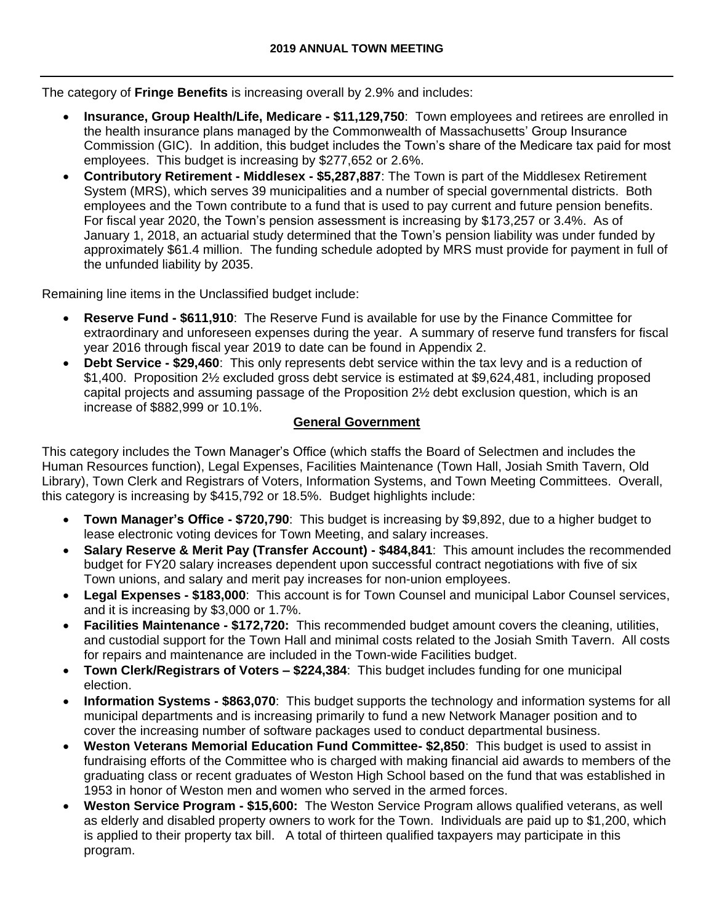The category of **Fringe Benefits** is increasing overall by 2.9% and includes:

- **Insurance, Group Health/Life, Medicare - \$11,129,750**: Town employees and retirees are enrolled in the health insurance plans managed by the Commonwealth of Massachusetts' Group Insurance Commission (GIC). In addition, this budget includes the Town's share of the Medicare tax paid for most employees. This budget is increasing by \$277,652 or 2.6%.
- **Contributory Retirement - Middlesex - \$5,287,887**: The Town is part of the Middlesex Retirement System (MRS), which serves 39 municipalities and a number of special governmental districts. Both employees and the Town contribute to a fund that is used to pay current and future pension benefits. For fiscal year 2020, the Town's pension assessment is increasing by \$173,257 or 3.4%. As of January 1, 2018, an actuarial study determined that the Town's pension liability was under funded by approximately \$61.4 million. The funding schedule adopted by MRS must provide for payment in full of the unfunded liability by 2035.

Remaining line items in the Unclassified budget include:

- **Reserve Fund - \$611,910**: The Reserve Fund is available for use by the Finance Committee for extraordinary and unforeseen expenses during the year. A summary of reserve fund transfers for fiscal year 2016 through fiscal year 2019 to date can be found in Appendix 2.
- **Debt Service - \$29,460**: This only represents debt service within the tax levy and is a reduction of \$1,400. Proposition 2½ excluded gross debt service is estimated at \$9,624,481, including proposed capital projects and assuming passage of the Proposition 2½ debt exclusion question, which is an increase of \$882,999 or 10.1%.

## **General Government**

This category includes the Town Manager's Office (which staffs the Board of Selectmen and includes the Human Resources function), Legal Expenses, Facilities Maintenance (Town Hall, Josiah Smith Tavern, Old Library), Town Clerk and Registrars of Voters, Information Systems, and Town Meeting Committees. Overall, this category is increasing by \$415,792 or 18.5%. Budget highlights include:

- **Town Manager's Office - \$720,790**: This budget is increasing by \$9,892, due to a higher budget to lease electronic voting devices for Town Meeting, and salary increases.
- **Salary Reserve & Merit Pay (Transfer Account) - \$484,841**: This amount includes the recommended budget for FY20 salary increases dependent upon successful contract negotiations with five of six Town unions, and salary and merit pay increases for non-union employees.
- **Legal Expenses - \$183,000**: This account is for Town Counsel and municipal Labor Counsel services, and it is increasing by \$3,000 or 1.7%.
- **Facilities Maintenance - \$172,720:** This recommended budget amount covers the cleaning, utilities, and custodial support for the Town Hall and minimal costs related to the Josiah Smith Tavern. All costs for repairs and maintenance are included in the Town-wide Facilities budget.
- **Town Clerk/Registrars of Voters – \$224,384**: This budget includes funding for one municipal election.
- **Information Systems - \$863,070**: This budget supports the technology and information systems for all municipal departments and is increasing primarily to fund a new Network Manager position and to cover the increasing number of software packages used to conduct departmental business.
- **Weston Veterans Memorial Education Fund Committee- \$2,850**: This budget is used to assist in fundraising efforts of the Committee who is charged with making financial aid awards to members of the graduating class or recent graduates of Weston High School based on the fund that was established in 1953 in honor of Weston men and women who served in the armed forces.
- **Weston Service Program - \$15,600:** The Weston Service Program allows qualified veterans, as well as elderly and disabled property owners to work for the Town. Individuals are paid up to \$1,200, which is applied to their property tax bill. A total of thirteen qualified taxpayers may participate in this program.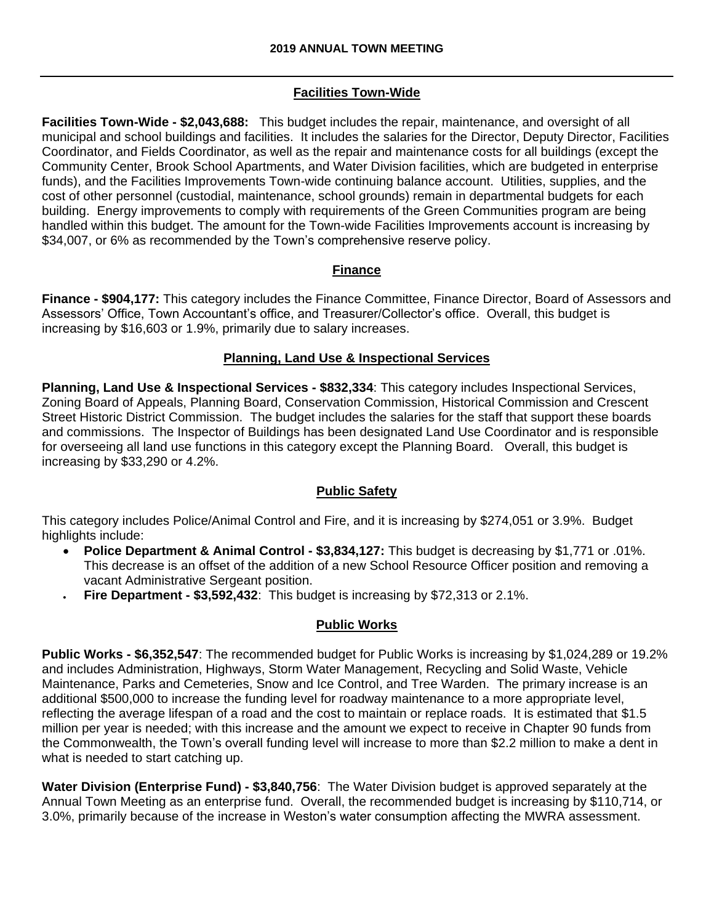## **Facilities Town-Wide**

**Facilities Town-Wide - \$2,043,688:** This budget includes the repair, maintenance, and oversight of all municipal and school buildings and facilities. It includes the salaries for the Director, Deputy Director, Facilities Coordinator, and Fields Coordinator, as well as the repair and maintenance costs for all buildings (except the Community Center, Brook School Apartments, and Water Division facilities, which are budgeted in enterprise funds), and the Facilities Improvements Town-wide continuing balance account. Utilities, supplies, and the cost of other personnel (custodial, maintenance, school grounds) remain in departmental budgets for each building. Energy improvements to comply with requirements of the Green Communities program are being handled within this budget. The amount for the Town-wide Facilities Improvements account is increasing by \$34,007, or 6% as recommended by the Town's comprehensive reserve policy.

## **Finance**

**Finance - \$904,177:** This category includes the Finance Committee, Finance Director, Board of Assessors and Assessors' Office, Town Accountant's office, and Treasurer/Collector's office. Overall, this budget is increasing by \$16,603 or 1.9%, primarily due to salary increases.

### **Planning, Land Use & Inspectional Services**

**Planning, Land Use & Inspectional Services - \$832,334**: This category includes Inspectional Services, Zoning Board of Appeals, Planning Board, Conservation Commission, Historical Commission and Crescent Street Historic District Commission. The budget includes the salaries for the staff that support these boards and commissions. The Inspector of Buildings has been designated Land Use Coordinator and is responsible for overseeing all land use functions in this category except the Planning Board. Overall, this budget is increasing by \$33,290 or 4.2%.

## **Public Safety**

This category includes Police/Animal Control and Fire, and it is increasing by \$274,051 or 3.9%. Budget highlights include:

- **Police Department & Animal Control - \$3,834,127:** This budget is decreasing by \$1,771 or .01%. This decrease is an offset of the addition of a new School Resource Officer position and removing a vacant Administrative Sergeant position.
- **Fire Department - \$3,592,432**: This budget is increasing by \$72,313 or 2.1%.

## **Public Works**

**Public Works - \$6,352,547**: The recommended budget for Public Works is increasing by \$1,024,289 or 19.2% and includes Administration, Highways, Storm Water Management, Recycling and Solid Waste, Vehicle Maintenance, Parks and Cemeteries, Snow and Ice Control, and Tree Warden. The primary increase is an additional \$500,000 to increase the funding level for roadway maintenance to a more appropriate level, reflecting the average lifespan of a road and the cost to maintain or replace roads. It is estimated that \$1.5 million per year is needed; with this increase and the amount we expect to receive in Chapter 90 funds from the Commonwealth, the Town's overall funding level will increase to more than \$2.2 million to make a dent in what is needed to start catching up.

**Water Division (Enterprise Fund) - \$3,840,756**: The Water Division budget is approved separately at the Annual Town Meeting as an enterprise fund. Overall, the recommended budget is increasing by \$110,714, or 3.0%, primarily because of the increase in Weston's water consumption affecting the MWRA assessment.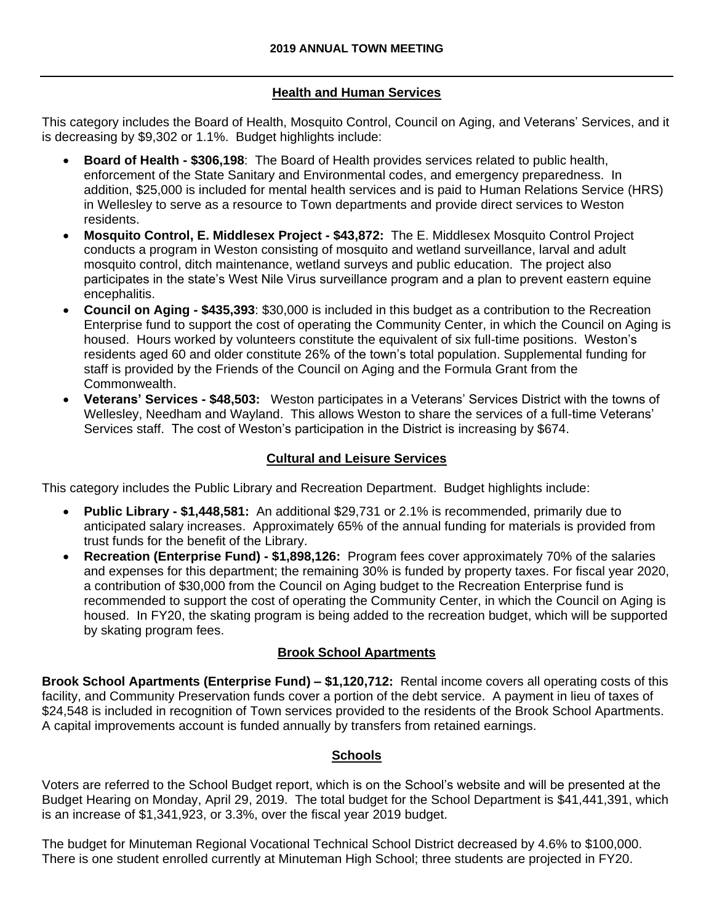## **Health and Human Services**

This category includes the Board of Health, Mosquito Control, Council on Aging, and Veterans' Services, and it is decreasing by \$9,302 or 1.1%. Budget highlights include:

- **Board of Health - \$306,198**: The Board of Health provides services related to public health, enforcement of the State Sanitary and Environmental codes, and emergency preparedness. In addition, \$25,000 is included for mental health services and is paid to Human Relations Service (HRS) in Wellesley to serve as a resource to Town departments and provide direct services to Weston residents.
- **Mosquito Control, E. Middlesex Project - \$43,872:** The E. Middlesex Mosquito Control Project conducts a program in Weston consisting of mosquito and wetland surveillance, larval and adult mosquito control, ditch maintenance, wetland surveys and public education. The project also participates in the state's West Nile Virus surveillance program and a plan to prevent eastern equine encephalitis.
- **Council on Aging - \$435,393**: \$30,000 is included in this budget as a contribution to the Recreation Enterprise fund to support the cost of operating the Community Center, in which the Council on Aging is housed. Hours worked by volunteers constitute the equivalent of six full-time positions. Weston's residents aged 60 and older constitute 26% of the town's total population. Supplemental funding for staff is provided by the Friends of the Council on Aging and the Formula Grant from the Commonwealth.
- **Veterans' Services - \$48,503:** Weston participates in a Veterans' Services District with the towns of Wellesley, Needham and Wayland. This allows Weston to share the services of a full-time Veterans' Services staff. The cost of Weston's participation in the District is increasing by \$674.

## **Cultural and Leisure Services**

This category includes the Public Library and Recreation Department. Budget highlights include:

- **Public Library - \$1,448,581:** An additional \$29,731 or 2.1% is recommended, primarily due to anticipated salary increases. Approximately 65% of the annual funding for materials is provided from trust funds for the benefit of the Library.
- **Recreation (Enterprise Fund) - \$1,898,126:** Program fees cover approximately 70% of the salaries and expenses for this department; the remaining 30% is funded by property taxes. For fiscal year 2020, a contribution of \$30,000 from the Council on Aging budget to the Recreation Enterprise fund is recommended to support the cost of operating the Community Center, in which the Council on Aging is housed. In FY20, the skating program is being added to the recreation budget, which will be supported by skating program fees.

## **Brook School Apartments**

**Brook School Apartments (Enterprise Fund) – \$1,120,712:** Rental income covers all operating costs of this facility, and Community Preservation funds cover a portion of the debt service. A payment in lieu of taxes of \$24,548 is included in recognition of Town services provided to the residents of the Brook School Apartments. A capital improvements account is funded annually by transfers from retained earnings.

## **Schools**

Voters are referred to the School Budget report, which is on the School's website and will be presented at the Budget Hearing on Monday, April 29, 2019. The total budget for the School Department is \$41,441,391, which is an increase of \$1,341,923, or 3.3%, over the fiscal year 2019 budget.

The budget for Minuteman Regional Vocational Technical School District decreased by 4.6% to \$100,000. There is one student enrolled currently at Minuteman High School; three students are projected in FY20.